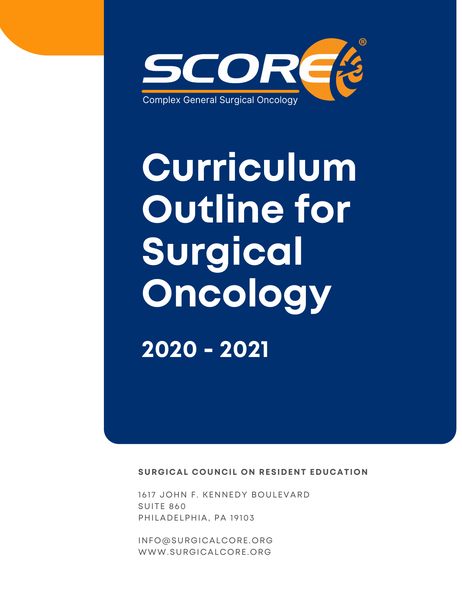

# **Curriculum Outline for Surgical Oncology 2020 - 2021**

**SURGICAL COUNCIL ON RESIDENT EDUCATION**

1617 JOHN F. KENNEDY BOULEVARD SUITE 860 PHILADELPHIA, PA 19103

[INFO@SURGICALCORE.ORG](mailto:info@surgicalcore.org) [WWW.SURGICALCORE.ORG](http://www.surgicalcore.org/)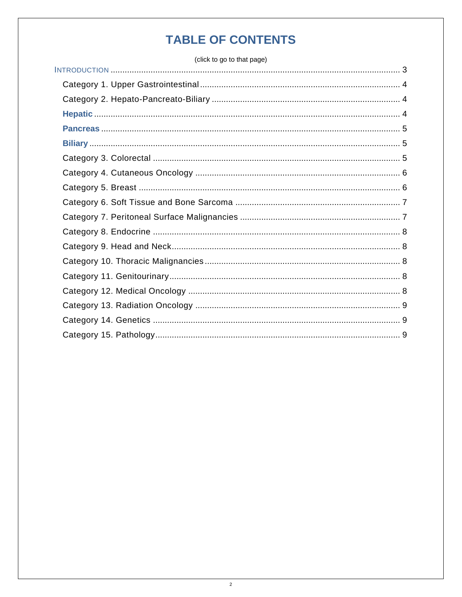# **TABLE OF CONTENTS**

(click to go to that page)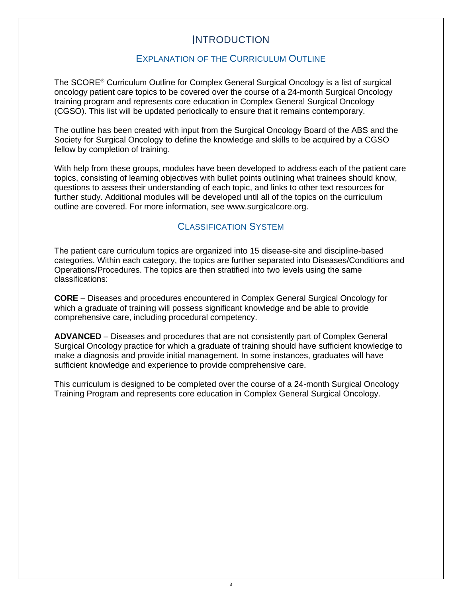# INTRODUCTION

# EXPLANATION OF THE CURRICULUM OUTLINE

<span id="page-2-0"></span>The SCORE® Curriculum Outline for Complex General Surgical Oncology is a list of surgical oncology patient care topics to be covered over the course of a 24-month Surgical Oncology training program and represents core education in Complex General Surgical Oncology (CGSO). This list will be updated periodically to ensure that it remains contemporary.

The outline has been created with input from the Surgical Oncology Board of the ABS and the Society for Surgical Oncology to define the knowledge and skills to be acquired by a CGSO fellow by completion of training.

With help from these groups, modules have been developed to address each of the patient care topics, consisting of learning objectives with bullet points outlining what trainees should know, questions to assess their understanding of each topic, and links to other text resources for further study. Additional modules will be developed until all of the topics on the curriculum outline are covered. For more information, see [www.surgicalcore.org.](http://www.surgicalcore.org/)

# CLASSIFICATION SYSTEM

The patient care curriculum topics are organized into 15 disease-site and discipline-based categories. Within each category, the topics are further separated into Diseases/Conditions and Operations/Procedures. The topics are then stratified into two levels using the same classifications:

**CORE** – Diseases and procedures encountered in Complex General Surgical Oncology for which a graduate of training will possess significant knowledge and be able to provide comprehensive care, including procedural competency.

**ADVANCED** – Diseases and procedures that are not consistently part of Complex General Surgical Oncology practice for which a graduate of training should have sufficient knowledge to make a diagnosis and provide initial management. In some instances, graduates will have sufficient knowledge and experience to provide comprehensive care.

This curriculum is designed to be completed over the course of a 24-month Surgical Oncology Training Program and represents core education in Complex General Surgical Oncology.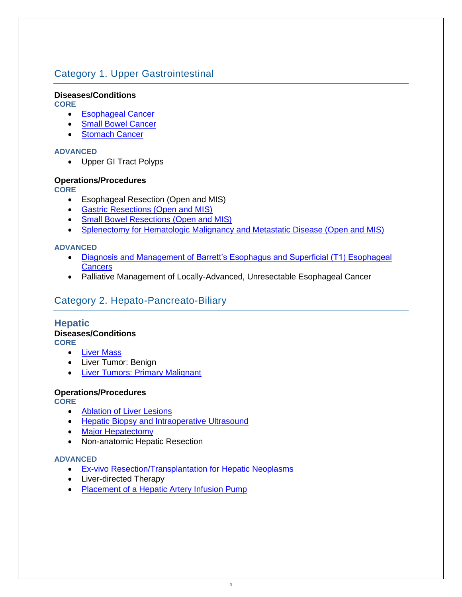# <span id="page-3-0"></span>Category 1. Upper Gastrointestinal

## **Diseases/Conditions**

**CORE**

- [Esophageal Cancer](https://www.surgicalcore.org/modulecontent.aspx?id=1000690)
- [Small Bowel Cancer](http://www.surgicalcore.org/modulecontent.aspx?id=1000596)
- **[Stomach Cancer](https://www.surgicalcore.org/modulecontent.aspx?id=1000691)**

#### **ADVANCED**

• Upper GI Tract Polyps

## **Operations/Procedures**

**CORE**

- Esophageal Resection (Open and MIS)
- [Gastric Resections \(Open and MIS\)](https://www.surgicalcore.org/modulecontent.aspx?id=1000692)
- [Small Bowel Resections \(Open and MIS\)](http://www.surgicalcore.org/modulecontent.aspx?id=1000593)
- [Splenectomy for Hematologic Malignancy and Metastatic Disease \(Open and MIS\)](http://www.surgicalcore.org/modulecontent.aspx?id=1000699)

## **ADVANCED**

- [Diagnosis and Management of Barrett's Esophagus and Superficial \(T1\) Esophageal](http://www.surgicalcore.org/modulecontent.aspx?id=1000584)  **[Cancers](http://www.surgicalcore.org/modulecontent.aspx?id=1000584)**
- Palliative Management of Locally-Advanced, Unresectable Esophageal Cancer

# <span id="page-3-1"></span>Category 2. Hepato-Pancreato-Biliary

#### <span id="page-3-2"></span>**Hepatic Diseases/Conditions CORE**

- [Liver Mass](https://www.surgicalcore.org/modulecontent.aspx?id=1000407)
- Liver Tumor: Benign
- [Liver Tumors: Primary Malignant](http://www.surgicalcore.org/modulecontent.aspx?id=1000409)

#### **Operations/Procedures**

**CORE**

- [Ablation of Liver Lesions](http://www.surgicalcore.org/modulecontent.aspx?id=1000471)
- [Hepatic Biopsy and Intraoperative Ultrasound](https://www.surgicalcore.org/modulecontent.aspx?id=1000383)
- [Major Hepatectomy](http://www.surgicalcore.org/modulecontent.aspx?id=1000384)
- Non-anatomic Hepatic Resection

#### **ADVANCED**

- [Ex-vivo Resection/Transplantation for Hepatic Neoplasms](http://www.surgicalcore.org/modulecontent.aspx?id=1000391)
- Liver-directed Therapy
- [Placement of a Hepatic Artery Infusion Pump](http://www.surgicalcore.org/modulecontent.aspx?id=1000389)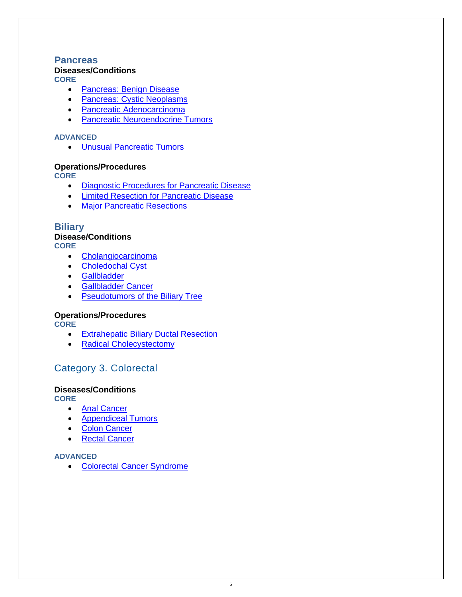## <span id="page-4-0"></span>**Pancreas**

## **Diseases/Conditions**

**CORE**

- [Pancreas: Benign Disease](http://www.surgicalcore.org/modulecontent.aspx?id=1000376)
- [Pancreas: Cystic Neoplasms](http://www.surgicalcore.org/modulecontent.aspx?id=1000374)
- [Pancreatic Adenocarcinoma](http://www.surgicalcore.org/modulecontent.aspx?id=1000393)
- [Pancreatic Neuroendocrine Tumors](http://www.surgicalcore.org/modulecontent.aspx?id=1000377)

#### **ADVANCED**

• [Unusual Pancreatic Tumors](http://www.surgicalcore.org/modulecontent.aspx?id=1000375)

## **Operations/Procedures**

**CORE**

- [Diagnostic Procedures for Pancreatic Disease](http://www.surgicalcore.org/modulecontent.aspx?id=1000403)
- [Limited Resection for Pancreatic Disease](http://www.surgicalcore.org/modulecontent.aspx?id=1000402)
- [Major Pancreatic Resections](http://www.surgicalcore.org/modulecontent.aspx?id=1000394)

## <span id="page-4-1"></span>**Biliary**

# **Disease/Conditions**

**CORE**

- [Cholangiocarcinoma](http://www.surgicalcore.org/modulecontent.aspx?id=1000410)
- [Choledochal Cyst](http://www.surgicalcore.org/modulecontent.aspx?id=1000405)
- [Gallbladder](http://www.surgicalcore.org/modulecontent.aspx?id=1000408)
- [Gallbladder Cancer](http://www.surgicalcore.org/modulecontent.aspx?id=1000411)
- [Pseudotumors of the Biliary Tree](http://www.surgicalcore.org/modulecontent.aspx?id=1000406)

## **Operations/Procedures**

**CORE**

- [Extrahepatic Biliary Ductal Resection](http://www.surgicalcore.org/modulecontent.aspx?id=1000388)
- [Radical Cholecystectomy](http://www.surgicalcore.org/modulecontent.aspx?id=1000387)

# <span id="page-4-2"></span>Category 3. Colorectal

#### **Diseases/Conditions**

**CORE**

- [Anal Cancer](http://www.surgicalcore.org/modulecontent.aspx?id=1000569)
- [Appendiceal Tumors](http://www.surgicalcore.org/modulecontent.aspx?id=1000569)
- [Colon Cancer](http://www.surgicalcore.org/modulecontent.aspx?id=1000401)
- [Rectal Cancer](https://www.surgicalcore.org/modulecontent.aspx?id=1000587)

#### **ADVANCED**

• [Colorectal Cancer Syndrome](http://www.surgicalcore.org/modulecontent.aspx?id=1000380)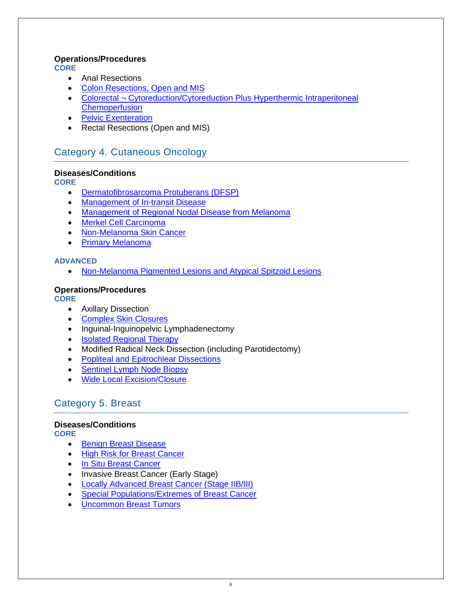## **Operations/Procedures**

**CORE**

- Anal Resections
- [Colon Resections, Open and MIS](http://www.surgicalcore.org/modulecontent.aspx?id=1000381)
- Colorectal ¬ Cytoreduction/Cytoreduction Plus Hyperthermic Intraperitoneal **[Chemoperfusion](http://www.surgicalcore.org/modulecontent.aspx?id=1000595)**
- [Pelvic Exenteration](https://www.surgicalcore.org/modulecontent.aspx?id=1000599)
- Rectal Resections (Open and MIS)

# <span id="page-5-0"></span>Category 4. Cutaneous Oncology

## **Diseases/Conditions**

**CORE**

- [Dermatofibrosarcoma Protuberans \(DFSP\)](http://www.surgicalcore.org/modulecontent.aspx?id=1000423)
- [Management of In-transit Disease](http://www.surgicalcore.org/modulecontent.aspx?id=1000421)
- [Management of Regional Nodal Disease from Melanoma](http://www.surgicalcore.org/modulecontent.aspx?id=1000592)
- [Merkel Cell Carcinoma](http://www.surgicalcore.org/modulecontent.aspx?id=1000422)
- [Non-Melanoma Skin Cancer](http://www.surgicalcore.org/modulecontent.aspx?id=1000585)
- [Primary Melanoma](http://www.surgicalcore.org/modulecontent.aspx?id=1000397)

## **ADVANCED**

• [Non-Melanoma Pigmented Lesions and Atypical Spitzoid Lesions](https://www.surgicalcore.org/modulecontent.aspx?id=1000398)

## **Operations/Procedures**

**CORE**

- Axillary Dissection
- [Complex Skin Closures](http://www.surgicalcore.org/modulecontent.aspx?id=1000424)
- Inguinal-Inguinopelvic Lymphadenectomy
- [Isolated Regional Therapy](http://www.surgicalcore.org/modulecontent.aspx?id=1000420)
- Modified Radical Neck Dissection (including Parotidectomy)
- [Popliteal and Epitrochlear Dissections](http://www.surgicalcore.org/modulecontent.aspx?id=1000419)
- [Sentinel Lymph Node Biopsy](https://www.surgicalcore.org/modulecontent.aspx?id=1000400)
- [Wide Local Excision/Closure](http://www.surgicalcore.org/modulecontent.aspx?id=1000399)

# <span id="page-5-1"></span>Category 5. Breast

# **Diseases/Conditions**

**CORE**

- [Benign Breast Disease](http://www.surgicalcore.org/modulecontent.aspx?id=1000571)
- [High Risk for Breast Cancer](http://www.surgicalcore.org/modulecontent.aspx?id=1000570)
- [In Situ Breast Cancer](http://www.surgicalcore.org/modulecontent.aspx?id=1000415)
- Invasive Breast Cancer (Early Stage)
- [Locally Advanced Breast Cancer \(Stage IIB/III\)](http://www.surgicalcore.org/modulecontent.aspx?id=1000573)
- [Special Populations/Extremes of Breast Cancer](http://www.surgicalcore.org/modulecontent.aspx?id=1000555)
- [Uncommon Breast Tumors](http://www.surgicalcore.org/modulecontent.aspx?id=1000557)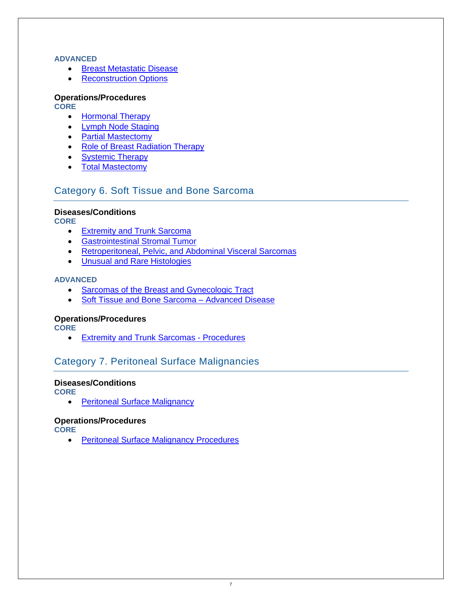#### **ADVANCED**

- [Breast Metastatic Disease](http://www.surgicalcore.org/modulecontent.aspx?id=1000416)
- [Reconstruction Options](http://www.surgicalcore.org/modulecontent.aspx?id=1000572)

#### **Operations/Procedures CORE**

- [Hormonal Therapy](http://www.surgicalcore.org/modulecontent.aspx?id=1000392)
- [Lymph Node Staging](http://www.surgicalcore.org/modulecontent.aspx?id=1000440)
- **[Partial Mastectomy](http://www.surgicalcore.org/modulecontent.aspx?id=1000565)**
- [Role of Breast Radiation Therapy](http://www.surgicalcore.org/modulecontent.aspx?id=1000556)
- [Systemic Therapy](https://www.surgicalcore.org/modulecontent.aspx?id=1000396)
- [Total Mastectomy](http://www.surgicalcore.org/modulecontent.aspx?id=1000439)

# <span id="page-6-0"></span>Category 6. Soft Tissue and Bone Sarcoma

## **Diseases/Conditions**

**CORE**

- [Extremity and Trunk Sarcoma](http://www.surgicalcore.org/modulecontent.aspx?id=1000379)
- [Gastrointestinal Stromal Tumor](http://www.surgicalcore.org/modulecontent.aspx?id=1000442)
- [Retroperitoneal, Pelvic, and Abdominal Visceral Sarcomas](http://www.surgicalcore.org/modulecontent.aspx?id=1000418)
- [Unusual and Rare Histologies](http://www.surgicalcore.org/modulecontent.aspx?id=1000444)

#### **ADVANCED**

- [Sarcomas of the Breast and Gynecologic Tract](http://www.surgicalcore.org/modulecontent.aspx?id=1000443)
- [Soft Tissue and Bone Sarcoma –](http://www.surgicalcore.org/modulecontent.aspx?id=1000445) Advanced Disease

## **Operations/Procedures**

**CORE**

• [Extremity and Trunk Sarcomas -](http://www.surgicalcore.org/modulecontent.aspx?id=1000434) Procedures

# <span id="page-6-1"></span>Category 7. Peritoneal Surface Malignancies

### **Diseases/Conditions**

**CORE**

• [Peritoneal Surface Malignancy](http://www.surgicalcore.org/modulecontent.aspx?id=1000588)

#### **Operations/Procedures**

**CORE**

• [Peritoneal Surface Malignancy Procedures](https://www.surgicalcore.org/modulecontent.aspx?id=1000588)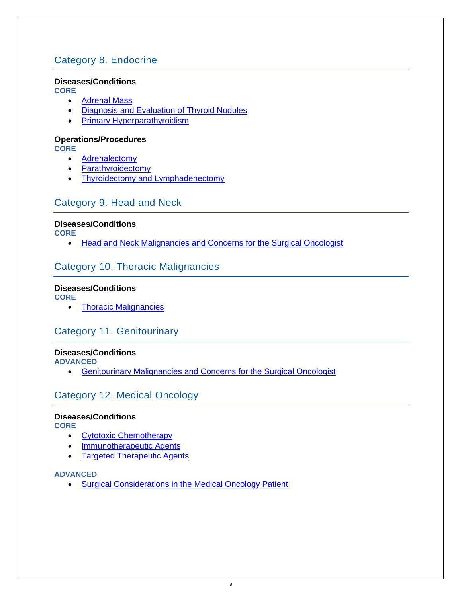# <span id="page-7-0"></span>Category 8. Endocrine

## **Diseases/Conditions**

**CORE**

- [Adrenal Mass](http://www.surgicalcore.org/modulecontent.aspx?id=1000371)
- [Diagnosis and Evaluation of Thyroid Nodules](http://www.surgicalcore.org/modulecontent.aspx?id=1000568)
- [Primary Hyperparathyroidism](http://www.surgicalcore.org/modulecontent.aspx?id=1000355)

## **Operations/Procedures**

**CORE**

- **[Adrenalectomy](http://www.surgicalcore.org/modulecontent.aspx?id=1000358)**
- [Parathyroidectomy](http://www.surgicalcore.org/modulecontent.aspx?id=1000360)
- [Thyroidectomy and Lymphadenectomy](http://www.surgicalcore.org/modulecontent.aspx?id=1000372)

# <span id="page-7-1"></span>Category 9. Head and Neck

## **Diseases/Conditions**

**CORE**

• [Head and Neck Malignancies and Concerns for the Surgical Oncologist](http://www.surgicalcore.org/modulecontent.aspx?id=1000357)

# <span id="page-7-2"></span>Category 10. Thoracic Malignancies

# **Diseases/Conditions**

**CORE**

• [Thoracic Malignancies](http://www.surgicalcore.org/modulecontent.aspx?id=1000367)

# <span id="page-7-3"></span>Category 11. Genitourinary

## **Diseases/Conditions**

**ADVANCED**

• [Genitourinary Malignancies and Concerns for the Surgical Oncologist](http://www.surgicalcore.org/modulecontent.aspx?id=1000364)

# <span id="page-7-4"></span>Category 12. Medical Oncology

#### **Diseases/Conditions**

**CORE**

- [Cytotoxic Chemotherapy](http://www.surgicalcore.org/modulecontent.aspx?id=1000373)
- **[Immunotherapeutic Agents](http://www.surgicalcore.org/modulecontent.aspx?id=1000368)**
- **[Targeted Therapeutic Agents](http://www.surgicalcore.org/modulecontent.aspx?id=1000369)**

#### **ADVANCED**

• [Surgical Considerations in the Medical Oncology Patient](https://www.surgicalcore.org/modulecontent.aspx?id=1000361)